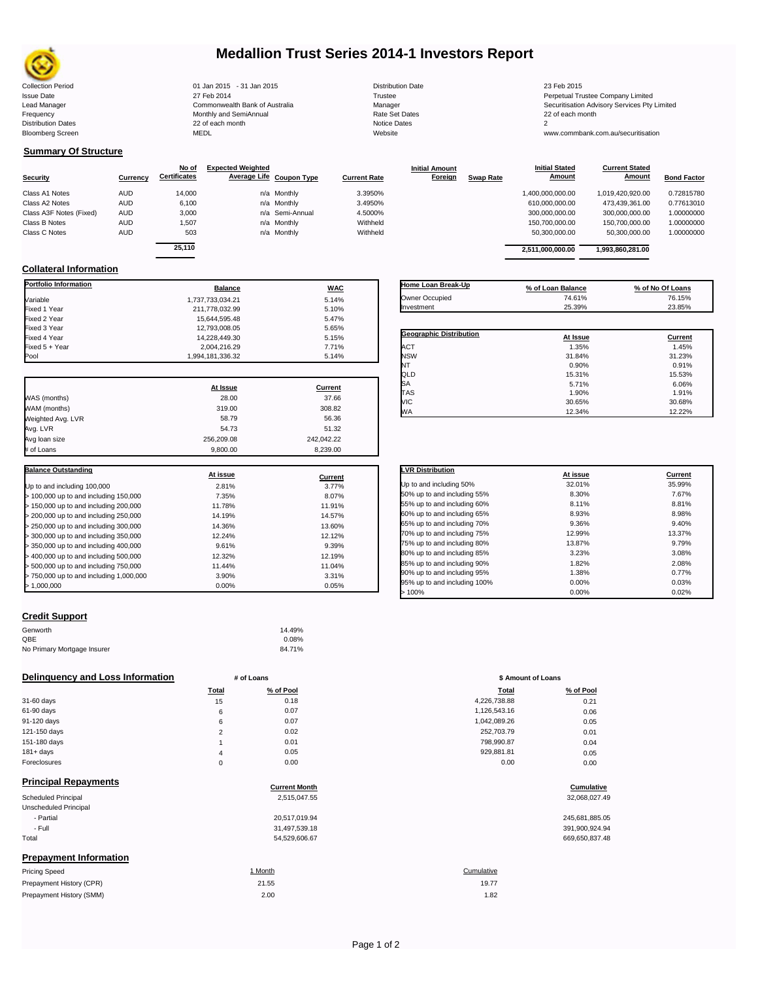

# **Medallion Trust Series 2014-1 Investors Report**

| <b>Collection Period</b>  | 01 Jan 2015 - 31 Jan 2015      | <b>Distribution Date</b> | 23 Feb 2015                             |
|---------------------------|--------------------------------|--------------------------|-----------------------------------------|
| <b>Issue Date</b>         | 27 Feb 2014                    | Trustee                  | Perpetual Trustee Company Limited       |
| Lead Manager              | Commonwealth Bank of Australia | Manager                  | Securitisation Advisory Services Pty Li |
| Frequency                 | Monthly and SemiAnnual         | Rate Set Dates           | 22 of each month                        |
| <b>Distribution Dates</b> | 22 of each month               | Notice Dates             |                                         |
| <b>Bloomberg Screen</b>   | <b>MEDL</b>                    | Website                  | www.commbank.com.au/securitisation      |

Issue Date 2014 2012 27 Feb 2014 2012 27 Feb 2014<br>Issue Date 27 Feb 2014 27 Feb 2014 27 Feb 2014 27 Feb 2014 2012 27 Feb 2014 2012 27 Feb 2014 2012 27 Feb 2014<br>Lead Manager Securitisation Advisory Services Pty Lead Manager **Commonwealth Bank of Australia** Manager Manager Manager Securitisation Advisory Services Pty Limited<br>Trequency Services Pty Limited Monthly and SemiAnnual Services and Search Securitisation Advisory Services

**Current Stated** 

## **Summary Of Structure**

|                         |            | No of               | <b>Expected Weighted</b> |                 |                     | <b>Initial Amount</b> |                  | <b>Initial Stated</b> | <b>Current Stated</b> |                    |
|-------------------------|------------|---------------------|--------------------------|-----------------|---------------------|-----------------------|------------------|-----------------------|-----------------------|--------------------|
| <b>Security</b>         | Currency   | <b>Certificates</b> | Average Life Coupon Type |                 | <b>Current Rate</b> | Foreign               | <b>Swap Rate</b> | <b>Amount</b>         | Amount                | <b>Bond Factor</b> |
| Class A1 Notes          | <b>AUD</b> | 14,000              |                          | n/a Monthly     | 3.3950%             |                       |                  | 1,400,000,000.00      | 1,019,420,920.00      | 0.72815780         |
| Class A2 Notes          | AUD        | 6,100               |                          | n/a Monthly     | 3.4950%             |                       |                  | 610,000,000.00        | 473,439,361.00        | 0.77613010         |
| Class A3F Notes (Fixed) | AUD        | 3,000               |                          | n/a Semi-Annual | 4.5000%             |                       |                  | 300,000,000.00        | 300.000.000.00        | 1.00000000         |
| Class B Notes           | AUD        | 1.507               |                          | n/a Monthly     | Withheld            |                       |                  | 150.700.000.00        | 150.700.000.00        | 1.00000000         |
| Class C Notes           | AUD        | 503                 |                          | n/a Monthly     | Withheld            |                       |                  | 50,300,000.00         | 50,300,000.00         | 1.00000000         |
|                         |            | OF 440              |                          |                 |                     |                       |                  |                       |                       |                    |

|        | <b>Balance</b> | <b>WAC</b>      |          | Home Loan Break-Up | % of Loan Balance |                  | % of No Of Loans |
|--------|----------------|-----------------|----------|--------------------|-------------------|------------------|------------------|
|        |                |                 |          |                    |                   |                  |                  |
| 25.110 |                |                 |          |                    | 2,511,000,000.00  | 1,993,860,281.00 |                  |
| 503    |                | n/a Monthly     | Withheld |                    | 50.300.000.00     | 50.300.000.00    | 1.00000000       |
| 1,507  |                | n/a Monthly     | Withheld |                    | 150.700.000.00    | 150.700.000.00   | 1.00000000       |
| 3.000  |                | n/a Semi-Annual | 4.5000%  |                    | 300.000.000.00    | 300.000.000.00   | 1.00000000       |
| 6,100  |                | n/a Monthly     | 3.4950%  |                    | 610,000,000.00    | 473,439,361.00   | 0.77613010       |
| 14.000 |                | n/a Monthly     | 3.3950%  |                    | 1,400,000,000.00  | 1.019.420.920.00 | 0.72815780       |

**Initial Stated** 

### **Collateral Information**

| Portfolio Information                   | <b>Balance</b>   | <b>WAC</b> |
|-----------------------------------------|------------------|------------|
| Variable                                | 1.737.733.034.21 | 5.14%      |
| Fixed 1 Year                            | 211,778,032.99   | 5.10%      |
| Fixed 2 Year                            | 15.644.595.48    | 5.47%      |
| Fixed 3 Year                            | 12,793,008.05    | 5.65%      |
| Fixed 4 Year                            | 14,228,449.30    | 5.15%      |
| Fixed 5 + Year                          | 2,004,216.29     | 7.71%      |
| Pool                                    | 1,994,181,336.32 | 5.14%      |
|                                         | At Issue         | Current    |
| WAS (months)                            | 28.00            | 37.66      |
| WAM (months)                            | 319.00           | 308.82     |
| Weighted Avg. LVR                       | 58.79            | 56.36      |
| Avg. LVR                                | 54.73            | 51.32      |
| Avg loan size                           | 256,209.08       | 242.042.22 |
| # of Loans                              | 9.800.00         | 8.239.00   |
| <b>Balance Outstanding</b>              | At issue         | Current    |
| Up to and including 100,000             | 2.81%            | 3.77%      |
| > 100,000 up to and including 150,000   | 7.35%            | 8.07%      |
| > 150,000 up to and including 200,000   | 11.78%           | 11.91%     |
| > 200,000 up to and including 250,000   | 14.19%           | 14.57%     |
| > 250,000 up to and including 300,000   | 14.36%           | 13.60%     |
| > 300,000 up to and including 350,000   | 12.24%           | 12.12%     |
| > 350,000 up to and including 400,000   | 9.61%            | 9.39%      |
| > 400,000 up to and including 500,000   | 12.32%           | 12.19%     |
| > 500,000 up to and including 750,000   | 11.44%           | 11.04%     |
| > 750,000 up to and including 1,000,000 | 3.90%            | 3.31%      |
| > 1,000,000                             | 0.00%            | 0.05%      |

| Owner Occupied          | 74.61%   | 76.15%         |
|-------------------------|----------|----------------|
| Investment              | 25.39%   | 23.85%         |
|                         |          |                |
| Geographic Distribution | At Issue | <b>Current</b> |
| <b>ACT</b>              | 1.35%    | 1.45%          |
| <b>NSW</b>              | 31.84%   | 31.23%         |
| NT                      | 0.90%    | 0.91%          |
| QLD                     | 15.31%   | 15.53%         |
| SA                      | 5.71%    | 6.06%          |
| <b>TAS</b>              | 1.90%    | 1.91%          |
| VIC                     | 30.65%   | 30.68%         |
| <b>WA</b>               | 12.34%   | 12.22%         |

| <b>LVR Distribution</b>      | At issue | Current |
|------------------------------|----------|---------|
| Up to and including 50%      | 32.01%   | 35.99%  |
| 50% up to and including 55%  | 8.30%    | 7.67%   |
| 55% up to and including 60%  | 8.11%    | 8.81%   |
| 60% up to and including 65%  | 8.93%    | 8.98%   |
| 65% up to and including 70%  | 9.36%    | 9.40%   |
| 70% up to and including 75%  | 12.99%   | 13.37%  |
| 75% up to and including 80%  | 13.87%   | 9.79%   |
| 80% up to and including 85%  | 3.23%    | 3.08%   |
| 85% up to and including 90%  | 1.82%    | 2.08%   |
| 90% up to and including 95%  | 1.38%    | 0.77%   |
| 95% up to and including 100% | 0.00%    | 0.03%   |
| >100%                        | 0.00%    | 0.02%   |

### **Credit Support**

Prepayment History (SMM)

| Genworth                    | 14.49% |
|-----------------------------|--------|
| OBE                         | 0.08%  |
| No Primary Mortgage Insurer | 84.71% |

### **Delinquency and Loss Information # of Loans # of Loans \$ Amount of Loans**

|              | Total          | % of Pool | <b>Total</b> | % of Pool |
|--------------|----------------|-----------|--------------|-----------|
| 31-60 days   | 15             | 0.18      | 4,226,738.88 | 0.21      |
| 61-90 days   | 6              | 0.07      | 1,126,543.16 | 0.06      |
| 91-120 days  | 6              | 0.07      | 1,042,089.26 | 0.05      |
| 121-150 days | $\sim$         | 0.02      | 252,703.79   | 0.01      |
| 151-180 days |                | 0.01      | 798.990.87   | 0.04      |
| 181+ days    | $\overline{4}$ | 0.05      | 929,881.81   | 0.05      |
| Foreclosures | $\Omega$       | 0.00      | 0.00         | 0.00      |
|              |                |           |              |           |

| <b>Principal Repayments</b>   |                      |                |
|-------------------------------|----------------------|----------------|
|                               | <b>Current Month</b> | Cumulative     |
| Scheduled Principal           | 2,515,047.55         | 32,068,027.49  |
| Unscheduled Principal         |                      |                |
| - Partial                     | 20,517,019.94        | 245,681,885.05 |
| - Full                        | 31,497,539.18        | 391,900,924.94 |
| Total                         | 54,529,606.67        | 669,650,837.48 |
| <b>Prepayment Information</b> |                      |                |
| <b>Pricing Speed</b>          | 1 Month              | Cumulative     |
| Prepayment History (CPR)      | 21.55                | 19.77          |

| Total          | % of Pool | <b>Total</b> | % of Pool |
|----------------|-----------|--------------|-----------|
| 15             | 0.18      | 4,226,738.88 | 0.21      |
| 6              | 0.07      | 1,126,543.16 | 0.06      |
| 6              | 0.07      | 1,042,089.26 | 0.05      |
| $\overline{2}$ | 0.02      | 252,703.79   | 0.01      |
| 1              | 0.01      | 798,990.87   | 0.04      |
| 4              | 0.05      | 929,881.81   | 0.05      |
| 0              | 0.00      | 0.00         | 0.00      |
|                |           |              |           |

# **Cumulative**<br>32,068,027.49

| 245,681,885.05 |
|----------------|
| 391,900,924.94 |
| 669.650.837.48 |

 $2.00$  and  $1.82$